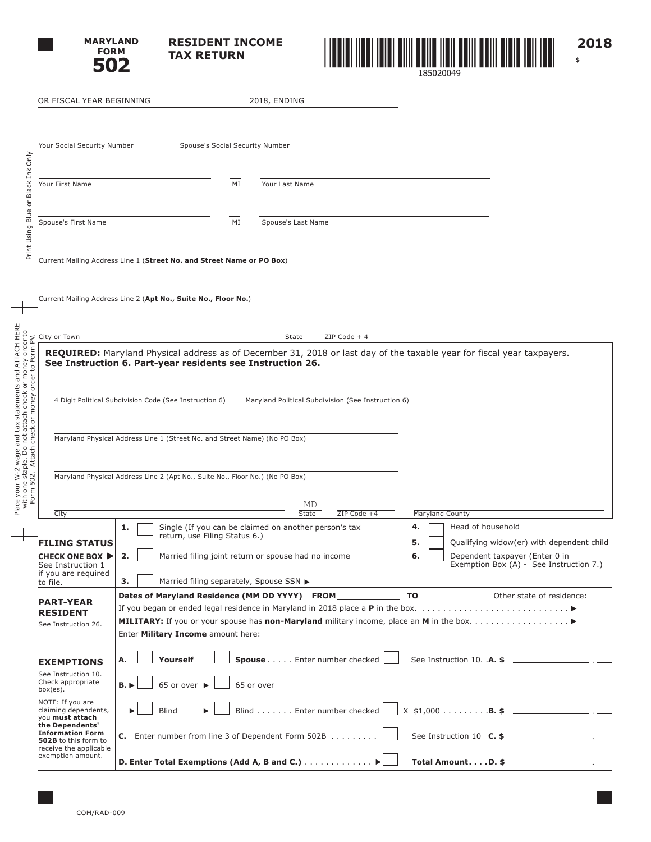

**RESIDENT INCOME TAX RETURN**



| OR FISCAL YEAR BEGINNING _                                                                                                                                                                                                      |                                           |                                                                                                                                                                                          | 2018, ENDING.                                                           |                                                    |                 |                                                                                                                                                                                                        |
|---------------------------------------------------------------------------------------------------------------------------------------------------------------------------------------------------------------------------------|-------------------------------------------|------------------------------------------------------------------------------------------------------------------------------------------------------------------------------------------|-------------------------------------------------------------------------|----------------------------------------------------|-----------------|--------------------------------------------------------------------------------------------------------------------------------------------------------------------------------------------------------|
| Your Social Security Number                                                                                                                                                                                                     |                                           | Spouse's Social Security Number                                                                                                                                                          |                                                                         |                                                    |                 |                                                                                                                                                                                                        |
| Your First Name                                                                                                                                                                                                                 |                                           | MI                                                                                                                                                                                       | Your Last Name                                                          |                                                    |                 |                                                                                                                                                                                                        |
| Spouse's First Name                                                                                                                                                                                                             |                                           | MI                                                                                                                                                                                       | Spouse's Last Name                                                      |                                                    |                 |                                                                                                                                                                                                        |
|                                                                                                                                                                                                                                 |                                           | Current Mailing Address Line 1 (Street No. and Street Name or PO Box)<br>Current Mailing Address Line 2 (Apt No., Suite No., Floor No.)                                                  |                                                                         |                                                    |                 |                                                                                                                                                                                                        |
| City or Town                                                                                                                                                                                                                    |                                           |                                                                                                                                                                                          | State                                                                   | ZIP Code + 4                                       |                 |                                                                                                                                                                                                        |
|                                                                                                                                                                                                                                 |                                           | See Instruction 6. Part-year residents see Instruction 26.                                                                                                                               |                                                                         |                                                    |                 | REQUIRED: Maryland Physical address as of December 31, 2018 or last day of the taxable year for fiscal year taxpayers.                                                                                 |
| Place your W-2 wage and tax statements and ATTACH HERE<br>with one staple. Do not attach check or money order to<br>Form 502. Attach check or money order to Form PV.<br>4 Digit Political Subdivision Code (See Instruction 6) |                                           |                                                                                                                                                                                          |                                                                         | Maryland Political Subdivision (See Instruction 6) |                 |                                                                                                                                                                                                        |
|                                                                                                                                                                                                                                 |                                           | Maryland Physical Address Line 1 (Street No. and Street Name) (No PO Box)                                                                                                                |                                                                         |                                                    |                 |                                                                                                                                                                                                        |
|                                                                                                                                                                                                                                 |                                           | Maryland Physical Address Line 2 (Apt No., Suite No., Floor No.) (No PO Box)                                                                                                             |                                                                         |                                                    |                 |                                                                                                                                                                                                        |
| City                                                                                                                                                                                                                            |                                           |                                                                                                                                                                                          | MD<br><b>State</b>                                                      | ZIP Code +4                                        | Maryland County |                                                                                                                                                                                                        |
| <b>FILING STATUS</b><br><b>CHECK ONE BOX ▶</b><br>See Instruction<br>if you are required<br>to file.                                                                                                                            | 1.<br>2.<br>3.                            | Single (If you can be claimed on another person's tax<br>return, use Filing Status 6.)<br>Married filing joint return or spouse had no income<br>Married filing separately, Spouse SSN ▶ |                                                                         |                                                    | 4.<br>5.<br>6.  | Head of household<br>Qualifying widow(er) with dependent child<br>Dependent taxpayer (Enter 0 in<br>Exemption Box (A) - See Instruction 7.)<br><u> 1980 - Johann Stein, marwolaethau a bhann an t-</u> |
| <b>PART-YEAR</b><br><b>RESIDENT</b><br>See Instruction 26.                                                                                                                                                                      |                                           | Enter Military Income amount here:                                                                                                                                                       |                                                                         |                                                    |                 | Dates of Maryland Residence (MM DD YYYY) FROM TO TO COME TO Cher state of residence:                                                                                                                   |
| <b>EXEMPTIONS</b><br>See Instruction 10.<br>Check appropriate<br>box(es).<br>NOTE: If you are<br>claiming dependents,<br>you must attach                                                                                        | А.<br>$B.$ $\blacktriangleright$<br>Blind | Yourself<br>65 or over $\blacktriangleright$                                                                                                                                             | Spouse Enter number checked<br>65 or over<br>Blind Enter number checked |                                                    |                 | $X$ \$1,000 <b>B. \$</b> _______________________ . _____                                                                                                                                               |
| the Dependents'<br><b>Information Form</b><br>502B to this form to<br>receive the applicable<br>exemption amount.                                                                                                               |                                           | <b>C.</b> Enter number from line 3 of Dependent Form 502B $\ldots \ldots \ldots$<br>D. Enter Total Exemptions (Add A, B and C.) ▶                                                        |                                                                         |                                                    |                 | See Instruction 10 $C.$ \$ ________________________.<br>Total AmountD. \$ $\qquad \qquad$                                                                                                              |

 $\overline{\phantom{0}}$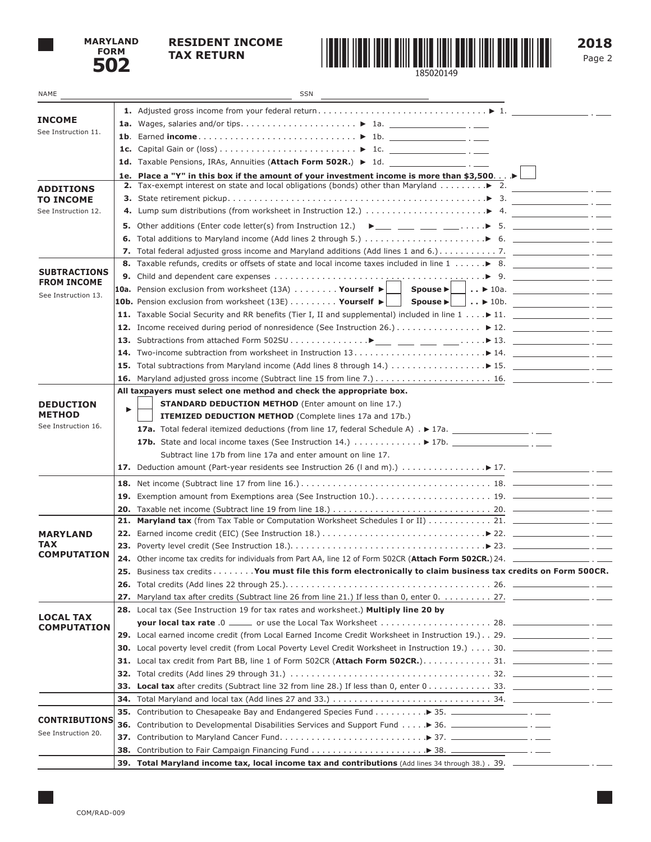

## **RESIDENT INCOME**



**2018**

| NAME                                      |     | SSN<br><u> 1989 - Johann Barbara, martin a</u>                                                                                                                                    |                                            |
|-------------------------------------------|-----|-----------------------------------------------------------------------------------------------------------------------------------------------------------------------------------|--------------------------------------------|
|                                           |     |                                                                                                                                                                                   |                                            |
| <b>INCOME</b>                             |     |                                                                                                                                                                                   |                                            |
| See Instruction 11.                       |     |                                                                                                                                                                                   |                                            |
|                                           |     |                                                                                                                                                                                   |                                            |
|                                           |     | 1d. Taxable Pensions, IRAs, Annuities (Attach Form 502R.) $\triangleright$ 1d.                                                                                                    |                                            |
|                                           |     | 1e. Place a "Y" in this box if the amount of your investment income is more than \$3,500                                                                                          |                                            |
| <b>ADDITIONS</b>                          |     | <b>2.</b> Tax-exempt interest on state and local obligations (bonds) other than Maryland $\dots \dots \dots$ $\blacktriangleright$ 2.                                             |                                            |
| <b>TO INCOME</b>                          |     |                                                                                                                                                                                   | <b>Contract Contract Contract Contract</b> |
| See Instruction 12.                       |     |                                                                                                                                                                                   |                                            |
|                                           |     |                                                                                                                                                                                   |                                            |
|                                           |     | <b>6.</b> Total additions to Maryland income (Add lines 2 through 5.) $\ldots \ldots \ldots \ldots \ldots \ldots \blacktriangleright$ 6.                                          |                                            |
|                                           |     |                                                                                                                                                                                   |                                            |
|                                           |     | 8. Taxable refunds, credits or offsets of state and local income taxes included in line $1, \ldots, \blacktriangleright 8$ .                                                      |                                            |
| <b>SUBTRACTIONS</b><br><b>FROM INCOME</b> |     |                                                                                                                                                                                   |                                            |
| See Instruction 13.                       |     |                                                                                                                                                                                   |                                            |
|                                           |     | <b>10b.</b> Pension exclusion from worksheet (13E) Yourself $\blacktriangleright \bigsqcup_{i=1}^{n}$ Spouse $\blacktriangleright \bigsqcup_{i=1}^{n}$ $\blacktriangleright$ 10b. |                                            |
|                                           |     |                                                                                                                                                                                   |                                            |
|                                           |     |                                                                                                                                                                                   |                                            |
|                                           |     |                                                                                                                                                                                   |                                            |
|                                           |     |                                                                                                                                                                                   |                                            |
|                                           |     |                                                                                                                                                                                   |                                            |
|                                           |     |                                                                                                                                                                                   |                                            |
|                                           |     | All taxpayers must select one method and check the appropriate box.                                                                                                               |                                            |
| <b>DEDUCTION</b>                          | ▶   | <b>STANDARD DEDUCTION METHOD</b> (Enter amount on line 17.)                                                                                                                       |                                            |
| <b>METHOD</b>                             |     | <b>ITEMIZED DEDUCTION METHOD</b> (Complete lines 17a and 17b.)                                                                                                                    |                                            |
| See Instruction 16.                       |     |                                                                                                                                                                                   |                                            |
|                                           |     | 17b. State and local income taxes (See Instruction 14.) $\ldots \ldots \ldots \blacktriangleright$ 17b.                                                                           |                                            |
|                                           |     | Subtract line 17b from line 17a and enter amount on line 17.                                                                                                                      |                                            |
|                                           |     |                                                                                                                                                                                   |                                            |
|                                           |     |                                                                                                                                                                                   |                                            |
|                                           |     |                                                                                                                                                                                   |                                            |
|                                           |     |                                                                                                                                                                                   |                                            |
|                                           | 21. |                                                                                                                                                                                   |                                            |
| <b>MARYLAND</b>                           |     |                                                                                                                                                                                   |                                            |
| TAX<br><b>COMPUTATION</b>                 |     |                                                                                                                                                                                   |                                            |
|                                           |     | 24. Other income tax credits for individuals from Part AA, line 12 of Form 502CR (Attach Form 502CR.) 24. ____________                                                            |                                            |
|                                           |     | 25. Business tax credits You must file this form electronically to claim business tax credits on Form 500CR.                                                                      |                                            |
|                                           |     |                                                                                                                                                                                   |                                            |
|                                           | 27. |                                                                                                                                                                                   |                                            |
| <b>LOCAL TAX</b><br><b>COMPUTATION</b>    |     | 28. Local tax (See Instruction 19 for tax rates and worksheet.) Multiply line 20 by                                                                                               |                                            |
|                                           |     |                                                                                                                                                                                   |                                            |
|                                           |     | 29. Local earned income credit (from Local Earned Income Credit Worksheet in Instruction 19.). 29. _________________.                                                             |                                            |
|                                           |     |                                                                                                                                                                                   |                                            |
|                                           | 31. |                                                                                                                                                                                   |                                            |
|                                           | 32. |                                                                                                                                                                                   |                                            |
|                                           | 33. |                                                                                                                                                                                   |                                            |
|                                           | 34. |                                                                                                                                                                                   |                                            |
| <b>CONTRIBUTIONS</b>                      |     | 35. Contribution to Chesapeake Bay and Endangered Species Fund > 35. _____________________ . _____                                                                                |                                            |
| See Instruction 20.                       |     | 36. Contribution to Developmental Disabilities Services and Support Fund ▶ 36. ___________________ . _____                                                                        |                                            |

**37.** Contribution to Maryland Cancer Fund. . 37. **38.** Contribution to Fair Campaign Financing Fund. . 38.

**39. Total Maryland income tax, local income tax and contributions** (Add lines 34 through 38.). 39.

- - --- $- \cdot$   $-$